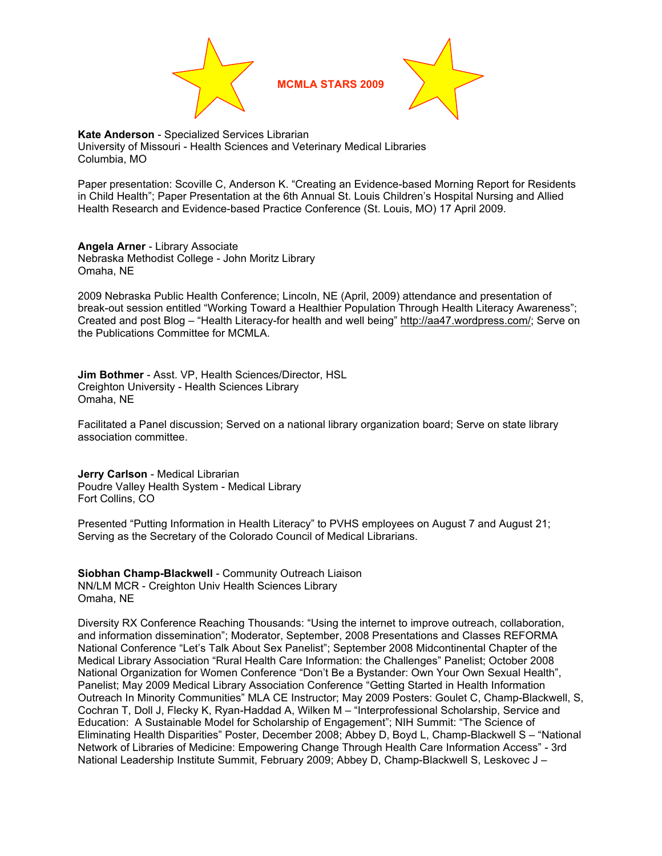

**MCMLA STARS 2009** 



**Kate Anderson** - Specialized Services Librarian University of Missouri - Health Sciences and Veterinary Medical Libraries Columbia, MO

Paper presentation: Scoville C, Anderson K. "Creating an Evidence-based Morning Report for Residents in Child Health"; Paper Presentation at the 6th Annual St. Louis Children's Hospital Nursing and Allied Health Research and Evidence-based Practice Conference (St. Louis, MO) 17 April 2009.

**Angela Arner** - Library Associate Nebraska Methodist College - John Moritz Library Omaha, NE

2009 Nebraska Public Health Conference; Lincoln, NE (April, 2009) attendance and presentation of break-out session entitled "Working Toward a Healthier Population Through Health Literacy Awareness"; Created and post Blog – "Health Literacy-for health and well being" http://aa47.wordpress.com/; Serve on the Publications Committee for MCMLA.

**Jim Bothmer** - Asst. VP, Health Sciences/Director, HSL Creighton University - Health Sciences Library Omaha, NE

Facilitated a Panel discussion; Served on a national library organization board; Serve on state library association committee.

**Jerry Carlson** - Medical Librarian Poudre Valley Health System - Medical Library Fort Collins, CO

Presented "Putting Information in Health Literacy" to PVHS employees on August 7 and August 21; Serving as the Secretary of the Colorado Council of Medical Librarians.

**Siobhan Champ-Blackwell** - Community Outreach Liaison NN/LM MCR - Creighton Univ Health Sciences Library Omaha, NE

Diversity RX Conference Reaching Thousands: "Using the internet to improve outreach, collaboration, and information dissemination"; Moderator, September, 2008 Presentations and Classes REFORMA National Conference "Let's Talk About Sex Panelist"; September 2008 Midcontinental Chapter of the Medical Library Association "Rural Health Care Information: the Challenges" Panelist; October 2008 National Organization for Women Conference "Don't Be a Bystander: Own Your Own Sexual Health", Panelist; May 2009 Medical Library Association Conference "Getting Started in Health Information Outreach In Minority Communities" MLA CE Instructor; May 2009 Posters: Goulet C, Champ-Blackwell, S, Cochran T, Doll J, Flecky K, Ryan-Haddad A, Wilken M – "Interprofessional Scholarship, Service and Education: A Sustainable Model for Scholarship of Engagement"; NIH Summit: "The Science of Eliminating Health Disparities" Poster, December 2008; Abbey D, Boyd L, Champ-Blackwell S – "National Network of Libraries of Medicine: Empowering Change Through Health Care Information Access" - 3rd National Leadership Institute Summit, February 2009; Abbey D, Champ-Blackwell S, Leskovec J –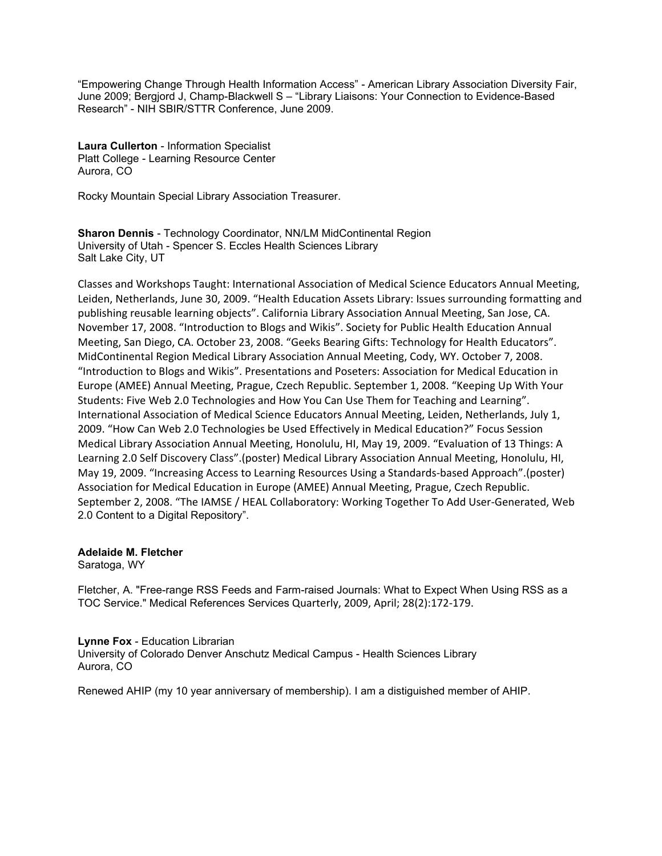"Empowering Change Through Health Information Access" - American Library Association Diversity Fair, June 2009; Bergjord J, Champ-Blackwell S – "Library Liaisons: Your Connection to Evidence-Based Research" - NIH SBIR/STTR Conference, June 2009.

**Laura Cullerton** - Information Specialist Platt College - Learning Resource Center Aurora, CO

Rocky Mountain Special Library Association Treasurer.

**Sharon Dennis** - Technology Coordinator, NN/LM MidContinental Region University of Utah - Spencer S. Eccles Health Sciences Library Salt Lake City, UT

Classes and Workshops Taught: International Association of Medical Science Educators Annual Meeting, Leiden, Netherlands, June 30, 2009. "Health Education Assets Library: Issues surrounding formatting and publishing reusable learning objects". California Library Association Annual Meeting, San Jose, CA. November 17, 2008. "Introduction to Blogs and Wikis". Society for Public Health Education Annual Meeting,
San
Diego,
CA.
October
23,
2008.
"Geeks
Bearing
Gifts:
Technology
for
Health
Educators". MidContinental
Region
Medical
Library
Association
Annual
Meeting,
Cody,
WY.
October
7,
2008. "Introduction to Blogs and Wikis". Presentations and Poseters: Association for Medical Education in Europe (AMEE) Annual Meeting, Prague, Czech Republic. September 1, 2008. "Keeping Up With Your Students: Five Web 2.0 Technologies and How You Can Use Them for Teaching and Learning". International Association of Medical Science Educators Annual Meeting, Leiden, Netherlands, July 1, 2009.
"How
Can
Web
2.0
Technologies
be
Used
Effectively
in
Medical
Education?"
Focus
Session Medical Library Association Annual Meeting, Honolulu, HI, May 19, 2009. "Evaluation of 13 Things: A Learning 2.0 Self Discovery Class".(poster) Medical Library Association Annual Meeting, Honolulu, HI, May
19,
2009.
"Increasing
Access
to
Learning
Resources
Using
a
Standards‐based
Approach".(poster) Association for Medical Education in Europe (AMEE) Annual Meeting, Prague, Czech Republic. September 2, 2008. "The IAMSE / HEAL Collaboratory: Working Together To Add User-Generated, Web 2.0 Content to a Digital Repository".

# **Adelaide M. Fletcher**

Saratoga, WY

Fletcher, A. "Free-range RSS Feeds and Farm-raised Journals: What to Expect When Using RSS as a TOC Service." Medical References ServicesQuarterly,
2009,
April;
28(2):172‐179.

# **Lynne Fox** - Education Librarian

University of Colorado Denver Anschutz Medical Campus - Health Sciences Library Aurora, CO

Renewed AHIP (my 10 year anniversary of membership). I am a distiguished member of AHIP.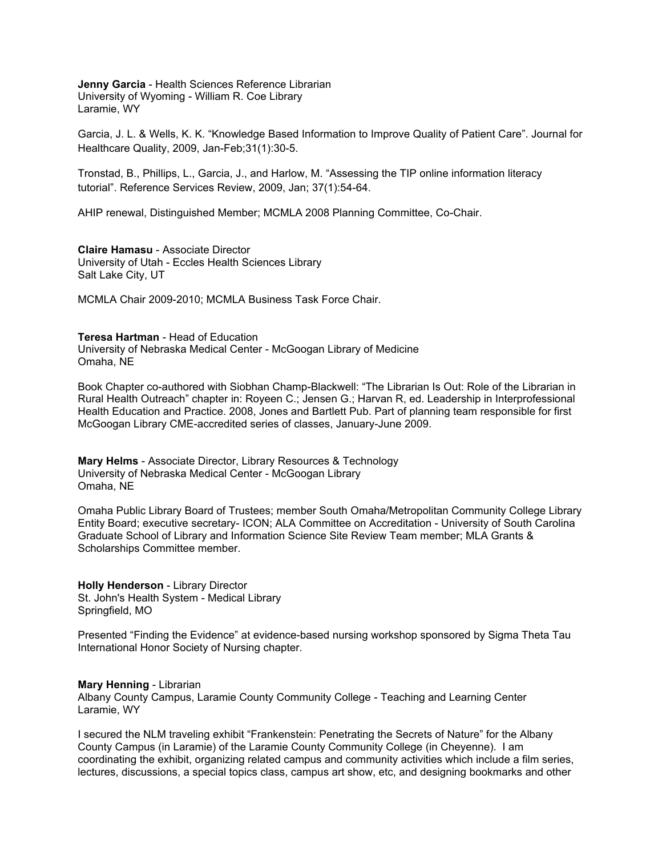**Jenny Garcia** - Health Sciences Reference Librarian University of Wyoming - William R. Coe Library Laramie, WY

Garcia, J. L. & Wells, K. K. "Knowledge Based Information to Improve Quality of Patient Care". Journal for Healthcare Quality, 2009, Jan-Feb;31(1):30-5.

Tronstad, B., Phillips, L., Garcia, J., and Harlow, M. "Assessing the TIP online information literacy tutorial". Reference Services Review, 2009, Jan; 37(1):54-64.

AHIP renewal, Distinguished Member; MCMLA 2008 Planning Committee, Co-Chair.

**Claire Hamasu** - Associate Director University of Utah - Eccles Health Sciences Library Salt Lake City, UT

MCMLA Chair 2009-2010; MCMLA Business Task Force Chair.

## **Teresa Hartman** - Head of Education

University of Nebraska Medical Center - McGoogan Library of Medicine Omaha, NE

Book Chapter co-authored with Siobhan Champ-Blackwell: "The Librarian Is Out: Role of the Librarian in Rural Health Outreach" chapter in: Royeen C.; Jensen G.; Harvan R, ed. Leadership in Interprofessional Health Education and Practice. 2008, Jones and Bartlett Pub. Part of planning team responsible for first McGoogan Library CME-accredited series of classes, January-June 2009.

**Mary Helms** - Associate Director, Library Resources & Technology University of Nebraska Medical Center - McGoogan Library Omaha, NE

Omaha Public Library Board of Trustees; member South Omaha/Metropolitan Community College Library Entity Board; executive secretary- ICON; ALA Committee on Accreditation - University of South Carolina Graduate School of Library and Information Science Site Review Team member; MLA Grants & Scholarships Committee member.

**Holly Henderson** - Library Director St. John's Health System - Medical Library Springfield, MO

Presented "Finding the Evidence" at evidence-based nursing workshop sponsored by Sigma Theta Tau International Honor Society of Nursing chapter.

## **Mary Henning** - Librarian

Albany County Campus, Laramie County Community College - Teaching and Learning Center Laramie, WY

I secured the NLM traveling exhibit "Frankenstein: Penetrating the Secrets of Nature" for the Albany County Campus (in Laramie) of the Laramie County Community College (in Cheyenne). I am coordinating the exhibit, organizing related campus and community activities which include a film series, lectures, discussions, a special topics class, campus art show, etc, and designing bookmarks and other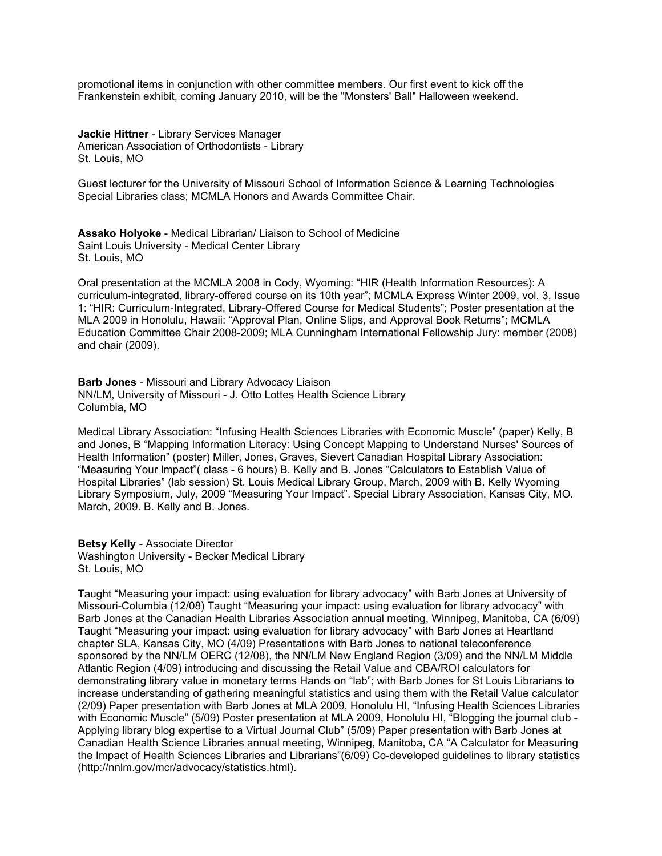promotional items in conjunction with other committee members. Our first event to kick off the Frankenstein exhibit, coming January 2010, will be the "Monsters' Ball" Halloween weekend.

**Jackie Hittner** - Library Services Manager American Association of Orthodontists - Library St. Louis, MO

Guest lecturer for the University of Missouri School of Information Science & Learning Technologies Special Libraries class; MCMLA Honors and Awards Committee Chair.

**Assako Holyoke** - Medical Librarian/ Liaison to School of Medicine Saint Louis University - Medical Center Library St. Louis, MO

Oral presentation at the MCMLA 2008 in Cody, Wyoming: "HIR (Health Information Resources): A curriculum-integrated, library-offered course on its 10th year"; MCMLA Express Winter 2009, vol. 3, Issue 1: "HIR: Curriculum-Integrated, Library-Offered Course for Medical Students"; Poster presentation at the MLA 2009 in Honolulu, Hawaii: "Approval Plan, Online Slips, and Approval Book Returns"; MCMLA Education Committee Chair 2008-2009; MLA Cunningham International Fellowship Jury: member (2008) and chair (2009).

**Barb Jones** - Missouri and Library Advocacy Liaison NN/LM, University of Missouri - J. Otto Lottes Health Science Library Columbia, MO

Medical Library Association: "Infusing Health Sciences Libraries with Economic Muscle" (paper) Kelly, B and Jones, B "Mapping Information Literacy: Using Concept Mapping to Understand Nurses' Sources of Health Information" (poster) Miller, Jones, Graves, Sievert Canadian Hospital Library Association: "Measuring Your Impact"( class - 6 hours) B. Kelly and B. Jones "Calculators to Establish Value of Hospital Libraries" (lab session) St. Louis Medical Library Group, March, 2009 with B. Kelly Wyoming Library Symposium, July, 2009 "Measuring Your Impact". Special Library Association, Kansas City, MO. March, 2009. B. Kelly and B. Jones.

**Betsy Kelly** - Associate Director Washington University - Becker Medical Library St. Louis, MO

Taught "Measuring your impact: using evaluation for library advocacy" with Barb Jones at University of Missouri-Columbia (12/08) Taught "Measuring your impact: using evaluation for library advocacy" with Barb Jones at the Canadian Health Libraries Association annual meeting, Winnipeg, Manitoba, CA (6/09) Taught "Measuring your impact: using evaluation for library advocacy" with Barb Jones at Heartland chapter SLA, Kansas City, MO (4/09) Presentations with Barb Jones to national teleconference sponsored by the NN/LM OERC (12/08), the NN/LM New England Region (3/09) and the NN/LM Middle Atlantic Region (4/09) introducing and discussing the Retail Value and CBA/ROI calculators for demonstrating library value in monetary terms Hands on "lab"; with Barb Jones for St Louis Librarians to increase understanding of gathering meaningful statistics and using them with the Retail Value calculator (2/09) Paper presentation with Barb Jones at MLA 2009, Honolulu HI, "Infusing Health Sciences Libraries with Economic Muscle" (5/09) Poster presentation at MLA 2009, Honolulu HI, "Blogging the journal club - Applying library blog expertise to a Virtual Journal Club" (5/09) Paper presentation with Barb Jones at Canadian Health Science Libraries annual meeting, Winnipeg, Manitoba, CA "A Calculator for Measuring the Impact of Health Sciences Libraries and Librarians"(6/09) Co-developed guidelines to library statistics (http://nnlm.gov/mcr/advocacy/statistics.html).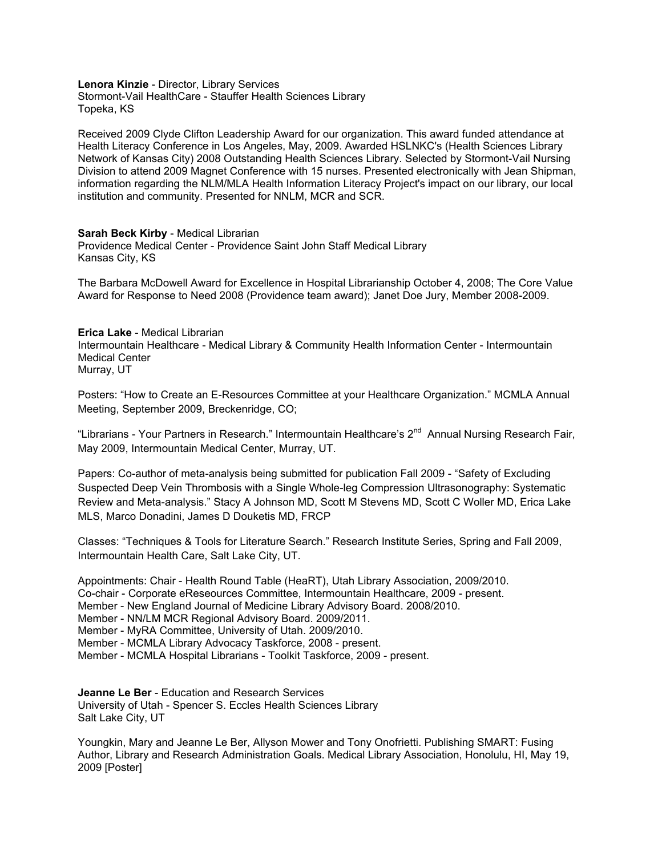**Lenora Kinzie** - Director, Library Services Stormont-Vail HealthCare - Stauffer Health Sciences Library Topeka, KS

Received 2009 Clyde Clifton Leadership Award for our organization. This award funded attendance at Health Literacy Conference in Los Angeles, May, 2009. Awarded HSLNKC's (Health Sciences Library Network of Kansas City) 2008 Outstanding Health Sciences Library. Selected by Stormont-Vail Nursing Division to attend 2009 Magnet Conference with 15 nurses. Presented electronically with Jean Shipman, information regarding the NLM/MLA Health Information Literacy Project's impact on our library, our local institution and community. Presented for NNLM, MCR and SCR.

# **Sarah Beck Kirby** - Medical Librarian

Providence Medical Center - Providence Saint John Staff Medical Library Kansas City, KS

The Barbara McDowell Award for Excellence in Hospital Librarianship October 4, 2008; The Core Value Award for Response to Need 2008 (Providence team award); Janet Doe Jury, Member 2008-2009.

# **Erica Lake** - Medical Librarian Intermountain Healthcare - Medical Library & Community Health Information Center - Intermountain Medical Center Murray, UT

Posters: "How to Create an E-Resources Committee at your Healthcare Organization." MCMLA Annual Meeting, September 2009, Breckenridge, CO;

"Librarians - Your Partners in Research." Intermountain Healthcare's 2<sup>nd</sup> Annual Nursing Research Fair, May 2009, Intermountain Medical Center, Murray, UT.

Papers: Co-author of meta-analysis being submitted for publication Fall 2009 - "Safety of Excluding Suspected Deep Vein Thrombosis with a Single Whole-leg Compression Ultrasonography: Systematic Review and Meta-analysis." Stacy A Johnson MD, Scott M Stevens MD, Scott C Woller MD, Erica Lake MLS, Marco Donadini, James D Douketis MD, FRCP

Classes: "Techniques & Tools for Literature Search." Research Institute Series, Spring and Fall 2009, Intermountain Health Care, Salt Lake City, UT.

Appointments: Chair - Health Round Table (HeaRT), Utah Library Association, 2009/2010. Co-chair - Corporate eReseources Committee, Intermountain Healthcare, 2009 - present. Member - New England Journal of Medicine Library Advisory Board. 2008/2010. Member - NN/LM MCR Regional Advisory Board. 2009/2011. Member - MyRA Committee, University of Utah. 2009/2010. Member - MCMLA Library Advocacy Taskforce, 2008 - present. Member - MCMLA Hospital Librarians - Toolkit Taskforce, 2009 - present.

**Jeanne Le Ber** - Education and Research Services University of Utah - Spencer S. Eccles Health Sciences Library Salt Lake City, UT

Youngkin, Mary and Jeanne Le Ber, Allyson Mower and Tony Onofrietti. Publishing SMART: Fusing Author, Library and Research Administration Goals. Medical Library Association, Honolulu, HI, May 19, 2009 [Poster]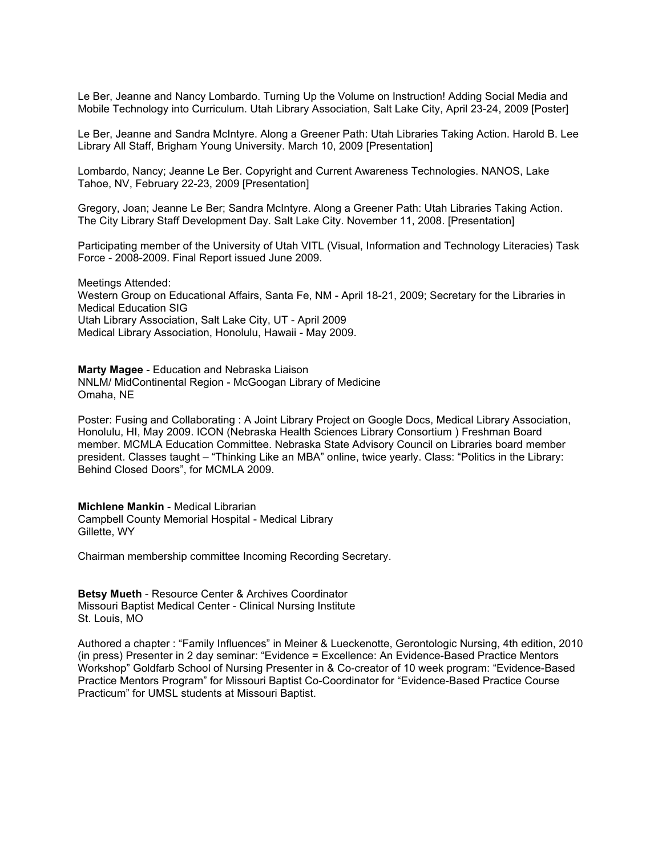Le Ber, Jeanne and Nancy Lombardo. Turning Up the Volume on Instruction! Adding Social Media and Mobile Technology into Curriculum. Utah Library Association, Salt Lake City, April 23-24, 2009 [Poster]

Le Ber, Jeanne and Sandra McIntyre. Along a Greener Path: Utah Libraries Taking Action. Harold B. Lee Library All Staff, Brigham Young University. March 10, 2009 [Presentation]

Lombardo, Nancy; Jeanne Le Ber. Copyright and Current Awareness Technologies. NANOS, Lake Tahoe, NV, February 22-23, 2009 [Presentation]

Gregory, Joan; Jeanne Le Ber; Sandra McIntyre. Along a Greener Path: Utah Libraries Taking Action. The City Library Staff Development Day. Salt Lake City. November 11, 2008. [Presentation]

Participating member of the University of Utah VITL (Visual, Information and Technology Literacies) Task Force - 2008-2009. Final Report issued June 2009.

Meetings Attended: Western Group on Educational Affairs, Santa Fe, NM - April 18-21, 2009; Secretary for the Libraries in Medical Education SIG Utah Library Association, Salt Lake City, UT - April 2009 Medical Library Association, Honolulu, Hawaii - May 2009.

**Marty Magee** - Education and Nebraska Liaison NNLM/ MidContinental Region - McGoogan Library of Medicine Omaha, NE

Poster: Fusing and Collaborating : A Joint Library Project on Google Docs, Medical Library Association, Honolulu, HI, May 2009. ICON (Nebraska Health Sciences Library Consortium ) Freshman Board member. MCMLA Education Committee. Nebraska State Advisory Council on Libraries board member president. Classes taught – "Thinking Like an MBA" online, twice yearly. Class: "Politics in the Library: Behind Closed Doors", for MCMLA 2009.

**Michlene Mankin** - Medical Librarian Campbell County Memorial Hospital - Medical Library Gillette, WY

Chairman membership committee Incoming Recording Secretary.

**Betsy Mueth** - Resource Center & Archives Coordinator Missouri Baptist Medical Center - Clinical Nursing Institute St. Louis, MO

Authored a chapter : "Family Influences" in Meiner & Lueckenotte, Gerontologic Nursing, 4th edition, 2010 (in press) Presenter in 2 day seminar: "Evidence = Excellence: An Evidence-Based Practice Mentors Workshop" Goldfarb School of Nursing Presenter in & Co-creator of 10 week program: "Evidence-Based Practice Mentors Program" for Missouri Baptist Co-Coordinator for "Evidence-Based Practice Course Practicum" for UMSL students at Missouri Baptist.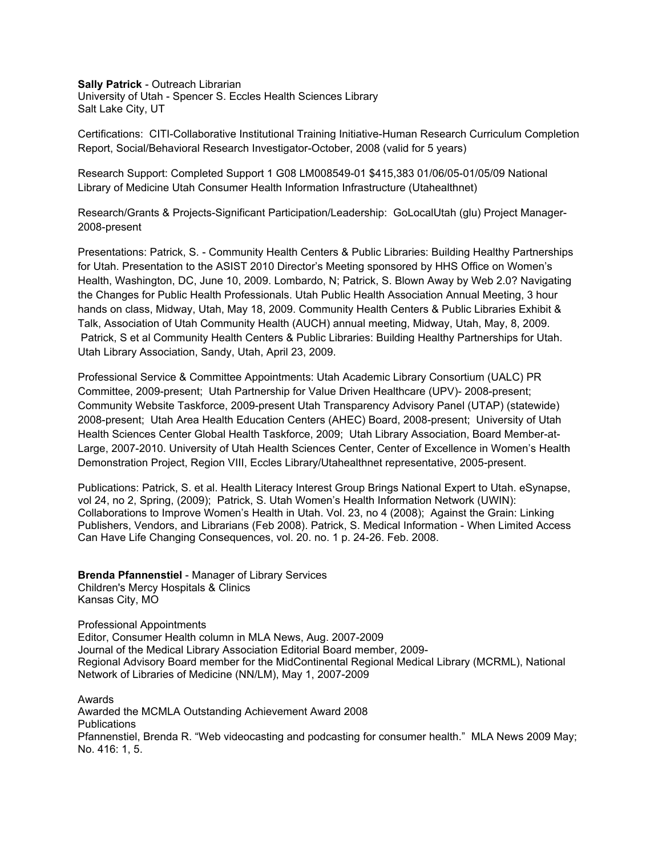**Sally Patrick** - Outreach Librarian University of Utah - Spencer S. Eccles Health Sciences Library Salt Lake City, UT

Certifications: CITI-Collaborative Institutional Training Initiative-Human Research Curriculum Completion Report, Social/Behavioral Research Investigator-October, 2008 (valid for 5 years)

Research Support: Completed Support 1 G08 LM008549-01 \$415,383 01/06/05-01/05/09 National Library of Medicine Utah Consumer Health Information Infrastructure (Utahealthnet)

Research/Grants & Projects-Significant Participation/Leadership: GoLocalUtah (glu) Project Manager-2008-present

Presentations: Patrick, S. - Community Health Centers & Public Libraries: Building Healthy Partnerships for Utah. Presentation to the ASIST 2010 Director's Meeting sponsored by HHS Office on Women's Health, Washington, DC, June 10, 2009. Lombardo, N; Patrick, S. Blown Away by Web 2.0? Navigating the Changes for Public Health Professionals. Utah Public Health Association Annual Meeting, 3 hour hands on class, Midway, Utah, May 18, 2009. Community Health Centers & Public Libraries Exhibit & Talk, Association of Utah Community Health (AUCH) annual meeting, Midway, Utah, May, 8, 2009. Patrick, S et al Community Health Centers & Public Libraries: Building Healthy Partnerships for Utah. Utah Library Association, Sandy, Utah, April 23, 2009.

Professional Service & Committee Appointments: Utah Academic Library Consortium (UALC) PR Committee, 2009-present; Utah Partnership for Value Driven Healthcare (UPV)- 2008-present; Community Website Taskforce, 2009-present Utah Transparency Advisory Panel (UTAP) (statewide) 2008-present; Utah Area Health Education Centers (AHEC) Board, 2008-present; University of Utah Health Sciences Center Global Health Taskforce, 2009; Utah Library Association, Board Member-at-Large, 2007-2010. University of Utah Health Sciences Center, Center of Excellence in Women's Health Demonstration Project, Region VIII, Eccles Library/Utahealthnet representative, 2005-present.

Publications: Patrick, S. et al. Health Literacy Interest Group Brings National Expert to Utah. eSynapse, vol 24, no 2, Spring, (2009); Patrick, S. Utah Women's Health Information Network (UWIN): Collaborations to Improve Women's Health in Utah. Vol. 23, no 4 (2008); Against the Grain: Linking Publishers, Vendors, and Librarians (Feb 2008). Patrick, S. Medical Information - When Limited Access Can Have Life Changing Consequences, vol. 20. no. 1 p. 24-26. Feb. 2008.

**Brenda Pfannenstiel** - Manager of Library Services Children's Mercy Hospitals & Clinics Kansas City, MO

Professional Appointments Editor, Consumer Health column in MLA News, Aug. 2007-2009 Journal of the Medical Library Association Editorial Board member, 2009- Regional Advisory Board member for the MidContinental Regional Medical Library (MCRML), National Network of Libraries of Medicine (NN/LM), May 1, 2007-2009

Awards Awarded the MCMLA Outstanding Achievement Award 2008 **Publications** Pfannenstiel, Brenda R. "Web videocasting and podcasting for consumer health." MLA News 2009 May; No. 416: 1, 5.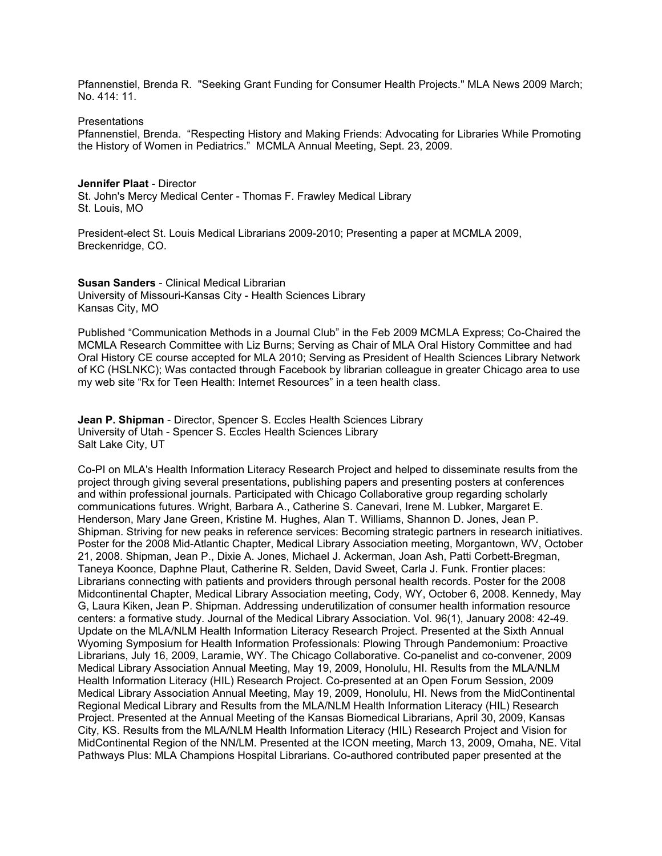Pfannenstiel, Brenda R. "Seeking Grant Funding for Consumer Health Projects." MLA News 2009 March; No. 414: 11.

**Presentations** 

Pfannenstiel, Brenda. "Respecting History and Making Friends: Advocating for Libraries While Promoting the History of Women in Pediatrics." MCMLA Annual Meeting, Sept. 23, 2009.

## **Jennifer Plaat** - Director

St. John's Mercy Medical Center - Thomas F. Frawley Medical Library St. Louis, MO

President-elect St. Louis Medical Librarians 2009-2010; Presenting a paper at MCMLA 2009, Breckenridge, CO.

**Susan Sanders** - Clinical Medical Librarian University of Missouri-Kansas City - Health Sciences Library Kansas City, MO

Published "Communication Methods in a Journal Club" in the Feb 2009 MCMLA Express; Co-Chaired the MCMLA Research Committee with Liz Burns; Serving as Chair of MLA Oral History Committee and had Oral History CE course accepted for MLA 2010; Serving as President of Health Sciences Library Network of KC (HSLNKC); Was contacted through Facebook by librarian colleague in greater Chicago area to use my web site "Rx for Teen Health: Internet Resources" in a teen health class.

**Jean P. Shipman** - Director, Spencer S. Eccles Health Sciences Library University of Utah - Spencer S. Eccles Health Sciences Library Salt Lake City, UT

Co-PI on MLA's Health Information Literacy Research Project and helped to disseminate results from the project through giving several presentations, publishing papers and presenting posters at conferences and within professional journals. Participated with Chicago Collaborative group regarding scholarly communications futures. Wright, Barbara A., Catherine S. Canevari, Irene M. Lubker, Margaret E. Henderson, Mary Jane Green, Kristine M. Hughes, Alan T. Williams, Shannon D. Jones, Jean P. Shipman. Striving for new peaks in reference services: Becoming strategic partners in research initiatives. Poster for the 2008 Mid-Atlantic Chapter, Medical Library Association meeting, Morgantown, WV, October 21, 2008. Shipman, Jean P., Dixie A. Jones, Michael J. Ackerman, Joan Ash, Patti Corbett-Bregman, Taneya Koonce, Daphne Plaut, Catherine R. Selden, David Sweet, Carla J. Funk. Frontier places: Librarians connecting with patients and providers through personal health records. Poster for the 2008 Midcontinental Chapter, Medical Library Association meeting, Cody, WY, October 6, 2008. Kennedy, May G, Laura Kiken, Jean P. Shipman. Addressing underutilization of consumer health information resource centers: a formative study. Journal of the Medical Library Association. Vol. 96(1), January 2008: 42-49. Update on the MLA/NLM Health Information Literacy Research Project. Presented at the Sixth Annual Wyoming Symposium for Health Information Professionals: Plowing Through Pandemonium: Proactive Librarians, July 16, 2009, Laramie, WY. The Chicago Collaborative. Co-panelist and co-convener, 2009 Medical Library Association Annual Meeting, May 19, 2009, Honolulu, HI. Results from the MLA/NLM Health Information Literacy (HIL) Research Project. Co-presented at an Open Forum Session, 2009 Medical Library Association Annual Meeting, May 19, 2009, Honolulu, HI. News from the MidContinental Regional Medical Library and Results from the MLA/NLM Health Information Literacy (HIL) Research Project. Presented at the Annual Meeting of the Kansas Biomedical Librarians, April 30, 2009, Kansas City, KS. Results from the MLA/NLM Health Information Literacy (HIL) Research Project and Vision for MidContinental Region of the NN/LM. Presented at the ICON meeting, March 13, 2009, Omaha, NE. Vital Pathways Plus: MLA Champions Hospital Librarians. Co-authored contributed paper presented at the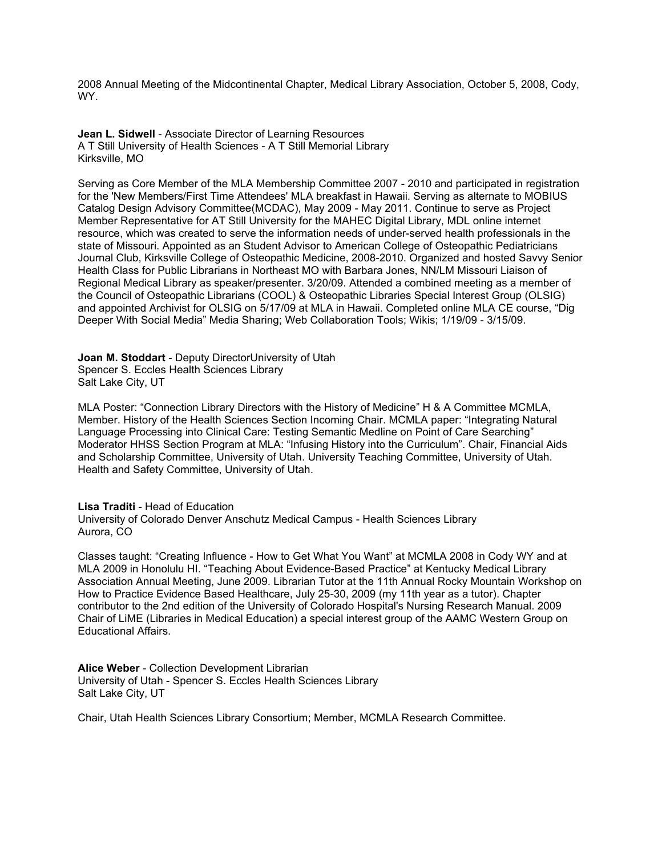2008 Annual Meeting of the Midcontinental Chapter, Medical Library Association, October 5, 2008, Cody, WY.

**Jean L. Sidwell** - Associate Director of Learning Resources A T Still University of Health Sciences - A T Still Memorial Library Kirksville, MO

Serving as Core Member of the MLA Membership Committee 2007 - 2010 and participated in registration for the 'New Members/First Time Attendees' MLA breakfast in Hawaii. Serving as alternate to MOBIUS Catalog Design Advisory Committee(MCDAC), May 2009 - May 2011. Continue to serve as Project Member Representative for AT Still University for the MAHEC Digital Library, MDL online internet resource, which was created to serve the information needs of under-served health professionals in the state of Missouri. Appointed as an Student Advisor to American College of Osteopathic Pediatricians Journal Club, Kirksville College of Osteopathic Medicine, 2008-2010. Organized and hosted Savvy Senior Health Class for Public Librarians in Northeast MO with Barbara Jones, NN/LM Missouri Liaison of Regional Medical Library as speaker/presenter. 3/20/09. Attended a combined meeting as a member of the Council of Osteopathic Librarians (COOL) & Osteopathic Libraries Special Interest Group (OLSIG) and appointed Archivist for OLSIG on 5/17/09 at MLA in Hawaii. Completed online MLA CE course, "Dig Deeper With Social Media" Media Sharing; Web Collaboration Tools; Wikis; 1/19/09 - 3/15/09.

**Joan M. Stoddart** - Deputy DirectorUniversity of Utah Spencer S. Eccles Health Sciences Library Salt Lake City, UT

MLA Poster: "Connection Library Directors with the History of Medicine" H & A Committee MCMLA, Member. History of the Health Sciences Section Incoming Chair. MCMLA paper: "Integrating Natural Language Processing into Clinical Care: Testing Semantic Medline on Point of Care Searching" Moderator HHSS Section Program at MLA: "Infusing History into the Curriculum". Chair, Financial Aids and Scholarship Committee, University of Utah. University Teaching Committee, University of Utah. Health and Safety Committee, University of Utah.

## **Lisa Traditi** - Head of Education

University of Colorado Denver Anschutz Medical Campus - Health Sciences Library Aurora, CO

Classes taught: "Creating Influence - How to Get What You Want" at MCMLA 2008 in Cody WY and at MLA 2009 in Honolulu HI. "Teaching About Evidence-Based Practice" at Kentucky Medical Library Association Annual Meeting, June 2009. Librarian Tutor at the 11th Annual Rocky Mountain Workshop on How to Practice Evidence Based Healthcare, July 25-30, 2009 (my 11th year as a tutor). Chapter contributor to the 2nd edition of the University of Colorado Hospital's Nursing Research Manual. 2009 Chair of LiME (Libraries in Medical Education) a special interest group of the AAMC Western Group on Educational Affairs.

**Alice Weber** - Collection Development Librarian University of Utah - Spencer S. Eccles Health Sciences Library Salt Lake City, UT

Chair, Utah Health Sciences Library Consortium; Member, MCMLA Research Committee.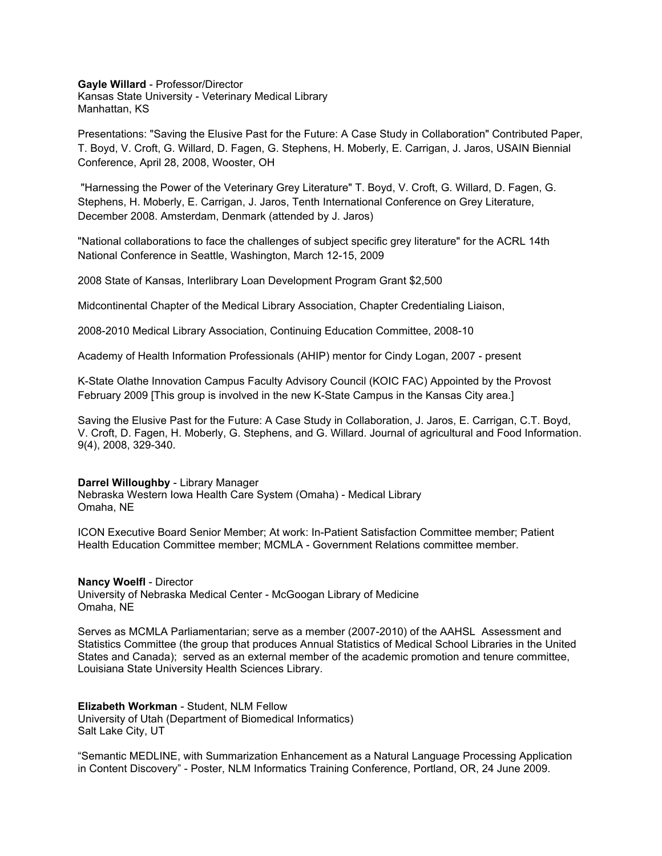**Gayle Willard** - Professor/Director Kansas State University - Veterinary Medical Library Manhattan, KS

Presentations: "Saving the Elusive Past for the Future: A Case Study in Collaboration" Contributed Paper, T. Boyd, V. Croft, G. Willard, D. Fagen, G. Stephens, H. Moberly, E. Carrigan, J. Jaros, USAIN Biennial Conference, April 28, 2008, Wooster, OH

"Harnessing the Power of the Veterinary Grey Literature" T. Boyd, V. Croft, G. Willard, D. Fagen, G. Stephens, H. Moberly, E. Carrigan, J. Jaros, Tenth International Conference on Grey Literature, December 2008. Amsterdam, Denmark (attended by J. Jaros)

"National collaborations to face the challenges of subject specific grey literature" for the ACRL 14th National Conference in Seattle, Washington, March 12-15, 2009

2008 State of Kansas, Interlibrary Loan Development Program Grant \$2,500

Midcontinental Chapter of the Medical Library Association, Chapter Credentialing Liaison,

2008-2010 Medical Library Association, Continuing Education Committee, 2008-10

Academy of Health Information Professionals (AHIP) mentor for Cindy Logan, 2007 - present

K-State Olathe Innovation Campus Faculty Advisory Council (KOIC FAC) Appointed by the Provost February 2009 [This group is involved in the new K-State Campus in the Kansas City area.]

Saving the Elusive Past for the Future: A Case Study in Collaboration, J. Jaros, E. Carrigan, C.T. Boyd, V. Croft, D. Fagen, H. Moberly, G. Stephens, and G. Willard. Journal of agricultural and Food Information. 9(4), 2008, 329-340.

# **Darrel Willoughby** - Library Manager

Nebraska Western Iowa Health Care System (Omaha) - Medical Library Omaha, NE

ICON Executive Board Senior Member; At work: In-Patient Satisfaction Committee member; Patient Health Education Committee member; MCMLA - Government Relations committee member.

## **Nancy Woelfl** - Director

University of Nebraska Medical Center - McGoogan Library of Medicine Omaha, NE

Serves as MCMLA Parliamentarian; serve as a member (2007-2010) of the AAHSL Assessment and Statistics Committee (the group that produces Annual Statistics of Medical School Libraries in the United States and Canada); served as an external member of the academic promotion and tenure committee, Louisiana State University Health Sciences Library.

**Elizabeth Workman** - Student, NLM Fellow University of Utah (Department of Biomedical Informatics) Salt Lake City, UT

"Semantic MEDLINE, with Summarization Enhancement as a Natural Language Processing Application in Content Discovery" - Poster, NLM Informatics Training Conference, Portland, OR, 24 June 2009.